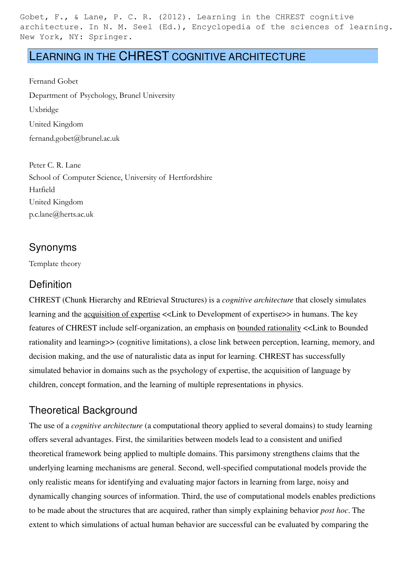Gobet, F., & Lane, P. C. R. (2012). Learning in the CHREST cognitive architecture. In N. M. Seel (Ed.), Encyclopedia of the sciences of learning. New York, NY: Springer.

# LEARNING IN THE CHREST COGNITIVE ARCHITECTURE

Fernand Gobet Department of Psychology, Brunel University Uxbridge United Kingdom fernand.gobet@brunel.ac.uk

Peter C. R. Lane School of Computer Science, University of Hertfordshire Hatfield United Kingdom p.c.lane@herts.ac.uk

#### Synonyms

Template theory

#### **Definition**

CHREST (Chunk Hierarchy and REtrieval Structures) is a *cognitive architecture* that closely simulates learning and the acquisition of expertise <<Link to Development of expertise>> in humans. The key features of CHREST include self-organization, an emphasis on bounded rationality <<Link to Bounded rationality and learning>> (cognitive limitations), a close link between perception, learning, memory, and decision making, and the use of naturalistic data as input for learning. CHREST has successfully simulated behavior in domains such as the psychology of expertise, the acquisition of language by children, concept formation, and the learning of multiple representations in physics.

# Theoretical Background

The use of a *cognitive architecture* (a computational theory applied to several domains) to study learning offers several advantages. First, the similarities between models lead to a consistent and unified theoretical framework being applied to multiple domains. This parsimony strengthens claims that the underlying learning mechanisms are general. Second, well-specified computational models provide the only realistic means for identifying and evaluating major factors in learning from large, noisy and dynamically changing sources of information. Third, the use of computational models enables predictions to be made about the structures that are acquired, rather than simply explaining behavior *post hoc*. The extent to which simulations of actual human behavior are successful can be evaluated by comparing the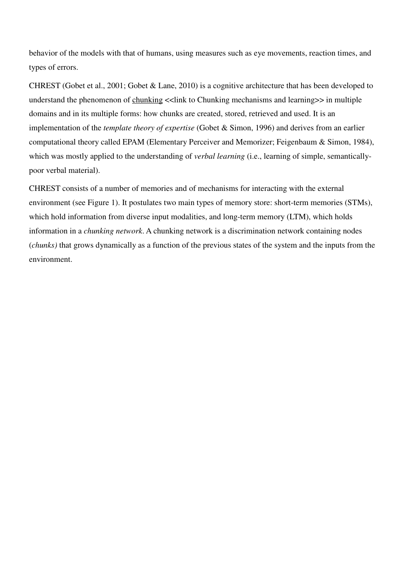behavior of the models with that of humans, using measures such as eye movements, reaction times, and types of errors.

CHREST (Gobet et al., 2001; Gobet & Lane, 2010) is a cognitive architecture that has been developed to understand the phenomenon of chunking  $\ll$  link to Chunking mechanisms and learning  $\gg$  in multiple domains and in its multiple forms: how chunks are created, stored, retrieved and used. It is an implementation of the *template theory of expertise* (Gobet & Simon, 1996) and derives from an earlier computational theory called EPAM (Elementary Perceiver and Memorizer; Feigenbaum & Simon, 1984), which was mostly applied to the understanding of *verbal learning* (i.e., learning of simple, semanticallypoor verbal material).

CHREST consists of a number of memories and of mechanisms for interacting with the external environment (see Figure 1). It postulates two main types of memory store: short-term memories (STMs), which hold information from diverse input modalities, and long-term memory (LTM), which holds information in a *chunking network*. A chunking network is a discrimination network containing nodes (*chunks)* that grows dynamically as a function of the previous states of the system and the inputs from the environment.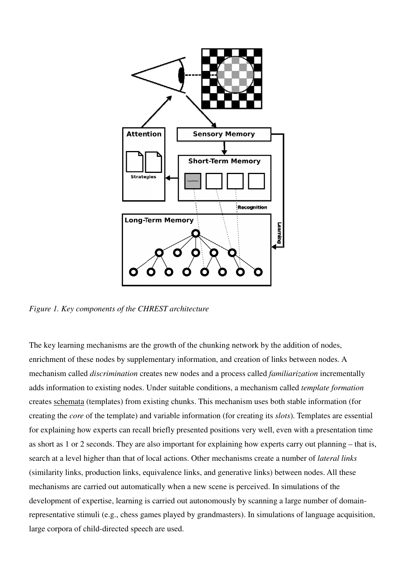

*Figure 1. Key components of the CHREST architecture*

The key learning mechanisms are the growth of the chunking network by the addition of nodes, enrichment of these nodes by supplementary information, and creation of links between nodes. A mechanism called *discrimination* creates new nodes and a process called *familiarization* adds information to existing nodes. Under suitable conditions, a mechanism called *template formation* creates schemata (templates) from existing chunks. This mechanism uses both stable information (for creating the *core* of the template) and variable information (for creating its *slots*). Templates are essential for explaining how experts can recall briefly presented positions very well, even with a presentation time as short as 1 or 2 seconds. They are also important for explaining how experts carry out planning – that is, for explaining how experts can recall briefly presented positions very well, even with a presentation<br>as short as 1 or 2 seconds. They are also important for explaining how experts carry out planning – t<br>search at a level (similarity links, production links, equivalence links, and generative links) between nodes. All these mechanisms are carried out automatically when a new scene is perceived. In simulations of the development of expertise, learning is carried out autonomously by scanning a large number of domainrepresentative stimuli (e.g., chess games played by grandmasters). In simulations of language acquisition, large corpora of child-directed speech are used. *rimination* creates new nodes and a process called *familiarization* incrementally isting nodes. Under suitable conditions, a mechanism called *template formation* plates) from existing chunks. This mechanism uses both st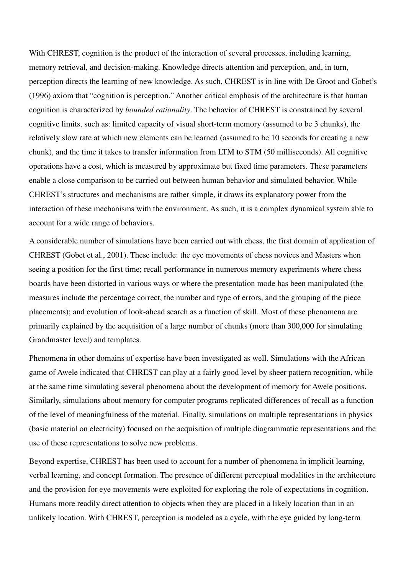With CHREST, cognition is the product of the interaction of several processes, including learning, memory retrieval, and decision-making. Knowledge directs attention and perception, and, in turn, perception directs the learning of new knowledge. As such, CHREST is in line with De Groot and Gobet's (1996) axiom that "cognition is perception." Another critical emphasis of the architecture is that human cognition is characterized by *bounded rationality*. The behavior of CHREST is constrained by several cognitive limits, such as: limited capacity of visual short-term memory (assumed to be 3 chunks), the relatively slow rate at which new elements can be learned (assumed to be 10 seconds for creating a new chunk), and the time it takes to transfer information from LTM to STM (50 milliseconds). All cognitive operations have a cost, which is measured by approximate but fixed time parameters. These parameters enable a close comparison to be carried out between human behavior and simulated behavior. While CHREST's structures and mechanisms are rather simple, it draws its explanatory power from the interaction of these mechanisms with the environment. As such, it is a complex dynamical system able to account for a wide range of behaviors.

A considerable number of simulations have been carried out with chess, the first domain of application of CHREST (Gobet et al., 2001). These include: the eye movements of chess novices and Masters when seeing a position for the first time; recall performance in numerous memory experiments where chess boards have been distorted in various ways or where the presentation mode has been manipulated (the measures include the percentage correct, the number and type of errors, and the grouping of the piece placements); and evolution of look-ahead search as a function of skill. Most of these phenomena are primarily explained by the acquisition of a large number of chunks (more than 300,000 for simulating Grandmaster level) and templates.

Phenomena in other domains of expertise have been investigated as well. Simulations with the African game of Awele indicated that CHREST can play at a fairly good level by sheer pattern recognition, while at the same time simulating several phenomena about the development of memory for Awele positions. Similarly, simulations about memory for computer programs replicated differences of recall as a function of the level of meaningfulness of the material. Finally, simulations on multiple representations in physics (basic material on electricity) focused on the acquisition of multiple diagrammatic representations and the use of these representations to solve new problems.

Beyond expertise, CHREST has been used to account for a number of phenomena in implicit learning, verbal learning, and concept formation. The presence of different perceptual modalities in the architecture and the provision for eye movements were exploited for exploring the role of expectations in cognition. Humans more readily direct attention to objects when they are placed in a likely location than in an unlikely location. With CHREST, perception is modeled as a cycle, with the eye guided by long-term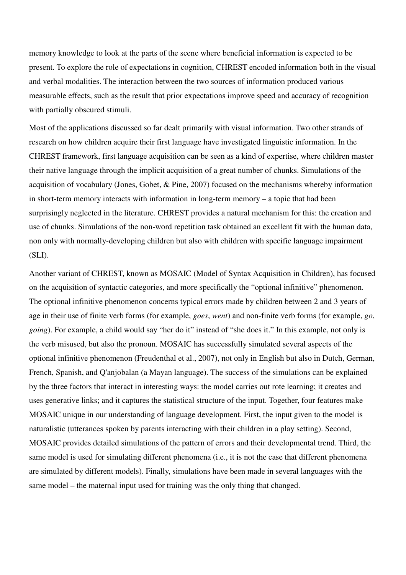memory knowledge to look at the parts of the scene where beneficial information is expected to be present. To explore the role of expectations in cognition, CHREST encoded information both in the visual and verbal modalities. The interaction between the two sources of information produced various measurable effects, such as the result that prior expectations improve speed and accuracy of recognition with partially obscured stimuli.

Most of the applications discussed so far dealt primarily with visual information. Two other strands of research on how children acquire their first language have investigated linguistic information. In the CHREST framework, first language acquisition can be seen as a kind of expertise, where children master their native language through the implicit acquisition of a great number of chunks. Simulations of the acquisition of vocabulary (Jones, Gobet, & Pine, 2007) focused on the mechanisms whereby information in short-term memory interacts with information in long-term memory – a topic that had been surprisingly neglected in the literature. CHREST provides a natural mechanism for this: the creation and use of chunks. Simulations of the non-word repetition task obtained an excellent fit with the human data, non only with normally-developing children but also with children with specific language impairment (SLI).

Another variant of CHREST, known as MOSAIC (Model of Syntax Acquisition in Children), has focused on the acquisition of syntactic categories, and more specifically the "optional infinitive" phenomenon. The optional infinitive phenomenon concerns typical errors made by children between 2 and 3 years of age in their use of finite verb forms (for example, *goes*, *went*) and non-finite verb forms (for example, *go*, *going*). For example, a child would say "her do it" instead of "she does it." In this example, not only is the verb misused, but also the pronoun. MOSAIC has successfully simulated several aspects of the optional infinitive phenomenon (Freudenthal et al., 2007), not only in English but also in Dutch, German, French, Spanish, and Q'anjobalan (a Mayan language). The success of the simulations can be explained by the three factors that interact in interesting ways: the model carries out rote learning; it creates and uses generative links; and it captures the statistical structure of the input. Together, four features make MOSAIC unique in our understanding of language development. First, the input given to the model is naturalistic (utterances spoken by parents interacting with their children in a play setting). Second, MOSAIC provides detailed simulations of the pattern of errors and their developmental trend. Third, the same model is used for simulating different phenomena (i.e., it is not the case that different phenomena are simulated by different models). Finally, simulations have been made in several languages with the same model – the maternal input used for training was the only thing that changed.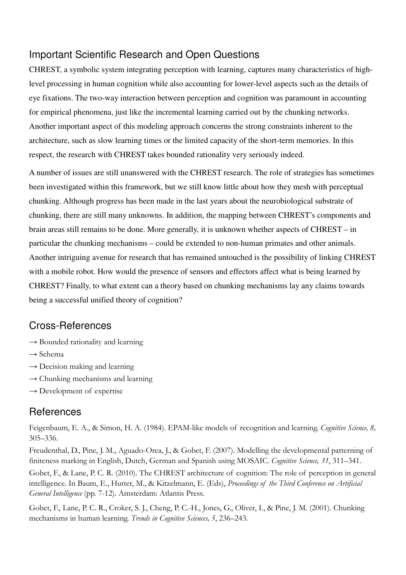# Important Scientific Research and Open Questions

CHREST, a symbolic system integrating perception with learning, captures many characteristics of highlevel processing in human cognition while also accounting for lower-level aspects such as the details of eye fixations. The two-way interaction between perception and cognition was paramount in accounting for empirical phenomena, just like the incremental learning carried out by the chunking networks. Another important aspect of this modeling approach concerns the strong constraints inherent to the architecture, such as slow learning times or the limited capacity of the short-term memories. In this respect, the research with CHREST takes bounded rationality very seriously indeed.

A number of issues are still unanswered with the CHREST research. The role of strategies has sometimes been investigated within this framework, but we still know little about how they mesh with perceptual chunking. Although progress has been made in the last years about the neurobiological substrate of chunking, there are still many unknowns. In addition, the mapping between CHREST's components and brain areas still remains to be done. More generally, it is unknown whether aspects of CHREST – in particular the chunking mechanisms – could be extended to non-human primates and other animals. Another intriguing avenue for research that has remained untouched is the possibility of linking CHREST with a mobile robot. How would the presence of sensors and effectors affect what is being learned by CHREST? Finally, to what extent can a theory based on chunking mechanisms lay any claims towards being a successful unified theory of cognition?

# Cross-References

- $\rightarrow$  Bounded rationality and learning
- $\rightarrow$  Schema
- $\rightarrow$  Decision making and learning
- $\rightarrow$  Chunking mechanisms and learning
- $\rightarrow$  Development of expertise

# References

Feigenbaum, E. A., & Simon, H. A. (1984). EPAM-like models of recognition and learning. Cognitive Science, 8, 305–336.

Freudenthal, D., Pine, J. M., Aguado-Orea, J., & Gobet, F. (2007). Modelling the developmental patterning of finiteness marking in English, Dutch, German and Spanish using MOSAIC. Cognitive Science, 31, 311–341.

Gobet, F., & Lane, P. C. R. (2010). The CHREST architecture of cognition: The role of perception in general intelligence. In Baum, E., Hutter, M., & Kitzelmann, E. (Eds), Proceedings of the Third Conference on Artificial General Intelligence (pp. 7-12). Amsterdam: Atlantis Press.

Gobet, F., Lane, P. C. R., Croker, S. J., Cheng, P. C.-H., Jones, G., Oliver, I., & Pine, J. M. (2001). Chunking mechanisms in human learning. Trends in Cognitive Sciences, 5, 236–243.